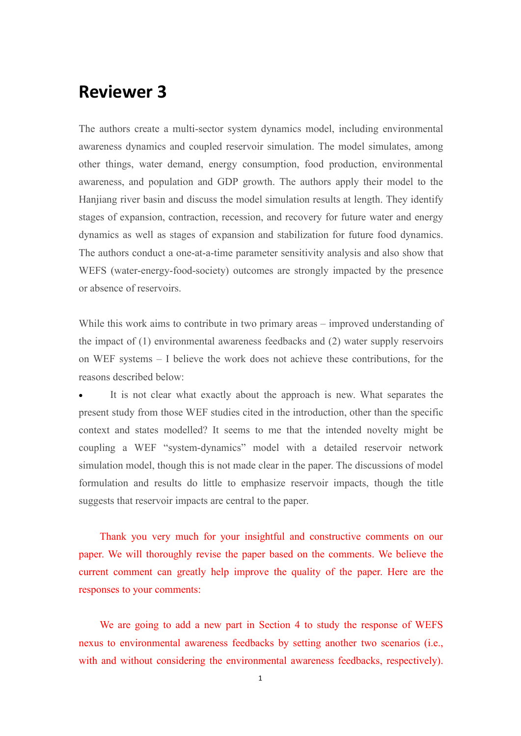# **Reviewer 3**

The authors create a multi-sector system dynamics model, including environmental awareness dynamics and coupled reservoir simulation. The model simulates, among other things, water demand, energy consumption, food production, environmental awareness, and population and GDP growth. The authors apply their model to the Hanjiang river basin and discuss the model simulation results at length. They identify stages of expansion, contraction, recession, and recovery for future water and energy dynamics as well as stages of expansion and stabilization for future food dynamics. The authors conduct a one-at-a-time parameter sensitivity analysis and also show that WEFS (water-energy-food-society) outcomes are strongly impacted by the presence or absence of reservoirs.

While this work aims to contribute in two primary areas – improved understanding of the impact of (1) environmental awareness feedbacks and (2) water supply reservoirs on WEF systems – I believe the work does not achieve these contributions, for the reasons described below:

 It is not clear what exactly about the approach is new. What separates the present study from those WEF studies cited in the introduction, other than the specific context and states modelled? It seems to me that the intended novelty might be coupling a WEF "system-dynamics" model with a detailed reservoir network simulation model, though this is not made clear in the paper. The discussions of model formulation and results do little to emphasize reservoir impacts, though the title suggests that reservoir impacts are central to the paper.

Thank you very much for your insightful and constructive comments on our paper. We will thoroughly revise the paper based on the comments. We believe the current comment can greatly help improve the quality of the paper. Here are the responses to your comments:

We are going to add a new part in Section 4 to study the response of WEFS nexus to environmental awareness feedbacks by setting another two scenarios (i.e., with and without considering the environmental awareness feedbacks, respectively).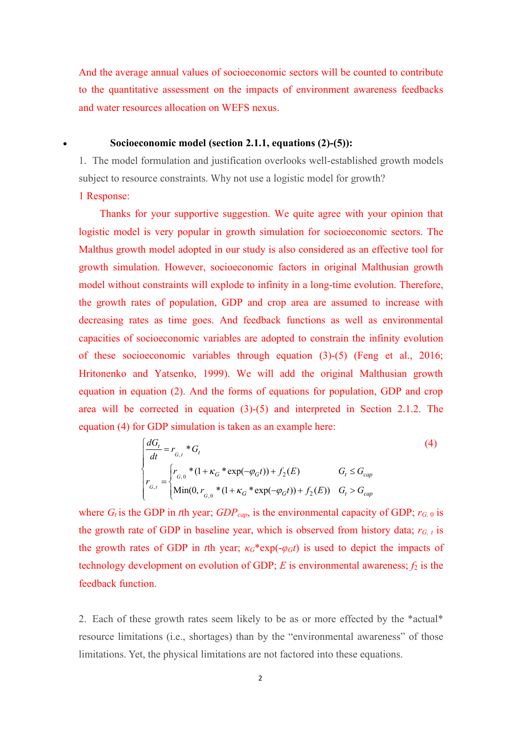And the average annual values of socioeconomic sectors will be counted to contribute to the quantitative assessment on the impacts of environment awareness feedbacks and water resources allocation on WEFS nexus.

#### **Socioeconomic model (section 2.1.1, equations (2)-(5)):**

1. The model formulation and justification overlooks well-established growth models subject to resource constraints. Why not use a logistic model for growth?

#### 1 Response:

Thanks for your supportive suggestion. We quite agree with your opinion that logistic model is very popular in growth simulation for socioeconomic sectors. The Malthus growth model adopted in our study is also considered as an effective tool for growth simulation. However, socioeconomic factors in original Malthusian growth model without constraints will explode to infinity in a long-time evolution. Therefore, the growth rates of population, GDP and crop area are assumed to increase with decreasing rates as time goes. And feedback functions as well as environmental capacities of socioeconomic variables are adopted to constrain the infinity evolution of these socioeconomic variables through equation (3)-(5) (Feng et al., 2016; Hritonenko and Yatsenko, 1999). We will add the original Malthusian growth equation in equation (2). And the forms of equations for population, GDP and crop area will be corrected in equation (3)-(5) and interpreted in Section 2.1.2. The equation (4) for GDP simulation is taken as an example here:

$$
\begin{cases}\n\frac{dG_t}{dt} = r_{G,t} * G_t & (4) \\
r_{G,t} = \begin{cases}\nr_{G,t} * (1 + \kappa_G * \exp(-\varphi_G t)) + f_2(E) & G_t \le G_{cap} \\
\text{Min}(0, r_{G,t} * (1 + \kappa_G * \exp(-\varphi_G t)) + f_2(E)) & G_t > G_{cap}\n\end{cases}\n\end{cases}
$$

where  $G_t$  is the GDP in *t*th year;  $GDP_{cap}$ , is the environmental capacity of GDP;  $r_{G,0}$  is the growth rate of GDP in baseline year, which is observed from history data;  $r_{G, t}$  is the growth rates of GDP in *t*th year;  $\kappa$ <sup>*G*\*</sup>exp(- $\varphi$ *Gt*) is used to depict the impacts of technology development on evolution of GDP;  $E$  is environmental awareness;  $f_2$  is the feedback function.

2. Each of these growth rates seem likely to be as or more effected by the \*actual\* resource limitations (i.e., shortages) than by the "environmental awareness" of those limitations. Yet, the physical limitations are not factored into these equations.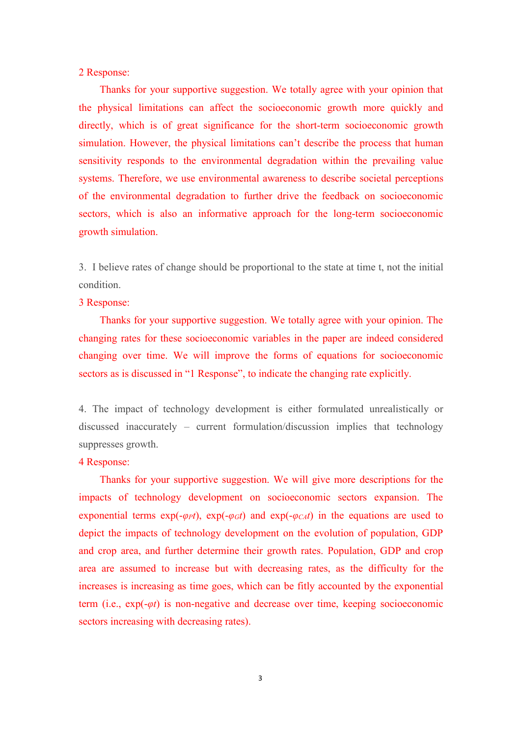#### 2 Response:

Thanks for your supportive suggestion. We totally agree with your opinion that the physical limitations can affect the socioeconomic growth more quickly and directly, which is of great significance for the short-term socioeconomic growth simulation. However, the physical limitations can't describe the process that human sensitivity responds to the environmental degradation within the prevailing value systems. Therefore, we use environmental awareness to describe societal perceptions of the environmental degradation to further drive the feedback on socioeconomic sectors, which is also an informative approach for the long-term socioeconomic growth simulation.<br>3. I believe rates of change should be proportional to the state at time t, not the initial

condition.

#### 3 Response:

Thanks for your supportive suggestion. We totally agree with your opinion. The changing rates for these socioeconomic variables in the paper are indeed considered changing over time. We will improve the forms of equations for socioeconomic sectors as is discussed in "1 Response", to indicate the changing rate explicitly.

4. The impact of technology development is either formulated unrealistically or discussed inaccurately – current formulation/discussion implies that technology suppresses growth.

#### 4 Response:

Thanks for your supportive suggestion. We will give more descriptions for the impacts of technology development on socioeconomic sectors expansion. The exponential terms  $exp(-\varphi_{P}t)$ ,  $exp(-\varphi_{G}t)$  and  $exp(-\varphi_{C}t)$  in the equations are used to depict the impacts of technology development on the evolution of population, GDP and crop area, and further determine their growth rates. Population, GDP and crop area are assumed to increase but with decreasing rates, as the difficulty for the increases is increasing as time goes, which can be fitly accounted by the exponential term (i.e., exp(-*φt*) is non-negative and decrease over time, keeping socioeconomic sectors increasing with decreasing rates).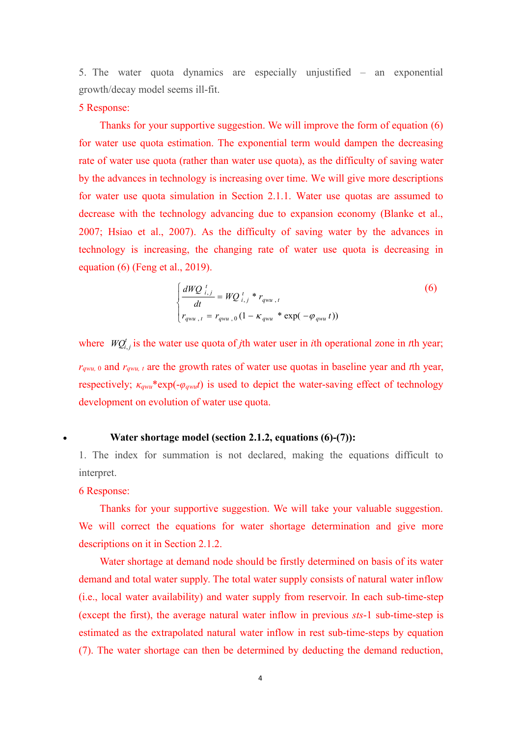5. The water quota dynamics are especially unjustified – an exponential growth/decay model seems ill-fit.

#### 5 Response:

Thanks for your supportive suggestion. We will improve the form of equation (6) for water use quota estimation. The exponential term would dampen the decreasing rate of water use quota (rather than water use quota), as the difficulty of saving water by the advances in technology is increasing over time. We will give more descriptions for water use quota simulation in Section 2.1.1. Water use quotas are assumed to decrease with the technology advancing due to expansion economy (Blanke et al., 2007; Hsiao et al., 2007). As the difficulty of saving water by the advances in technology is increasing, the changing rate of water use quota is decreasing in equation (6) (Feng et al., 2019).

$$
\begin{cases}\n\frac{dWQ_{i,j}}{dt} = WQ_{i,j}^{t} * r_{qwu,t} \\
r_{qwu,t} = r_{qwu,0} \left(1 - \kappa_{qwu} * \exp(-\varphi_{qwu} t)\right)\n\end{cases}
$$
\n(6)

where  $WQ_{i,j}^t$  is the water use quota of *j*th water user in *i*th operational zone in *t*th year;  $r_{qwu}$ , 0 and  $r_{qwu}$ , *t* are the growth rates of water use quotas in baseline year and *t*th year, respectively; *κqwu*\*exp(-*φqwut*) is used to depict the water-saving effect of technology development on evolution of water use quota.

#### **Water shortage model (section 2.1.2, equations (6)-(7)):**

1. The index for summation is not declared, making the equations difficult to interpret.

#### 6 Response:

Thanks for your supportive suggestion. We will take your valuable suggestion. We will correct the equations for water shortage determination and give more descriptions on it in Section 2.1.2.

Water shortage at demand node should be firstly determined on basis of its water demand and total water supply. The total water supply consists of natural water inflow  $(i.e., local water availability)$  and water supply from reservoir. In each sub-time-step (except the first), the average natural water inflow in previous *sts*-1 sub-time-step is estimated as the extrapolated natural water inflow in rest sub-time-steps by equation (7). The water shortage can then be determined by deducting the demand reduction,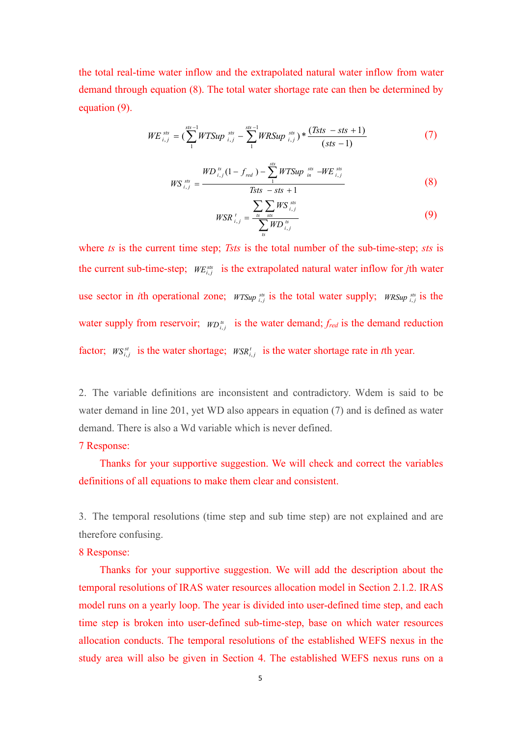the total real-time water inflow and the extrapolated natural water inflow from water demand through equation (8). The total water shortage rate can then be determined by equation (9).

$$
WE_{i,j}^{sts} = (\sum_{1}^{sts-1} WTSup_{i,j}^{sts} - \sum_{1}^{sts-1} WRSup_{i,j}^{sts}) * \frac{(Tsts - sts + 1)}{(sts - 1)}
$$
(7)

$$
WS_{i,j}^{ss} = \frac{WD_{i,j}^{ss}(1 - f_{red}) - \sum_{1}^{sts} WTSup_{in}^{ss} - WE_{i,j}^{sts}}{Tsts - sts + 1}
$$
(8)

$$
WSR_{i,j}^{t} = \frac{\sum_{s} \sum_{s \text{ss}} W S_{i,j}^{s \text{ts}}}{\sum_{s} W D_{i,j}^{s}} \tag{9}
$$

where *ts* is the current time step; *Tsts* is the total number of the sub-time-step; *sts* is the current sub-time-step;  $WE_{i,j}^{ss}$  is the extrapolated natural water inflow for *j*th water use sector in *i*th operational zone;  $WTSup_{i,j}^{ss}$  is the total water supply;  $WRSup_{i,j}^{ss}$  is the water supply from reservoir;  $WD_{i,j}^{ts}$  is the water demand;  $f_{red}$  is the demand reduction factor;  $W S^{st}_{i,j}$  is the water shortage;  $W S R^t_{i,j}$  is the water shortage rate in *t*th year.

2. The variable definitions are inconsistent and contradictory. Wdem is said to be water demand in line 201, yet WD also appears in equation (7) and is defined as water demand. There is also a Wd variable which is never defined.

#### 7 Response:

Thanks for your supportive suggestion. We will check and correct the variables definitions of all equations to make them clear and consistent.

3. The temporal resolutions (time step and sub time step) are not explained and are therefore confusing.

#### 8 Response:

Thanks for your supportive suggestion. We will add the description about the temporal resolutions of IRAS water resources allocation model in Section 2.1.2. IRAS model runs on a yearly loop. The year is divided into user-defined time step, and each time step is broken into user-defined sub-time-step, base on which water resources allocation conducts. The temporal resolutions of the established WEFS nexus in the study area will also be given in Section 4. The established WEFS nexus runs on a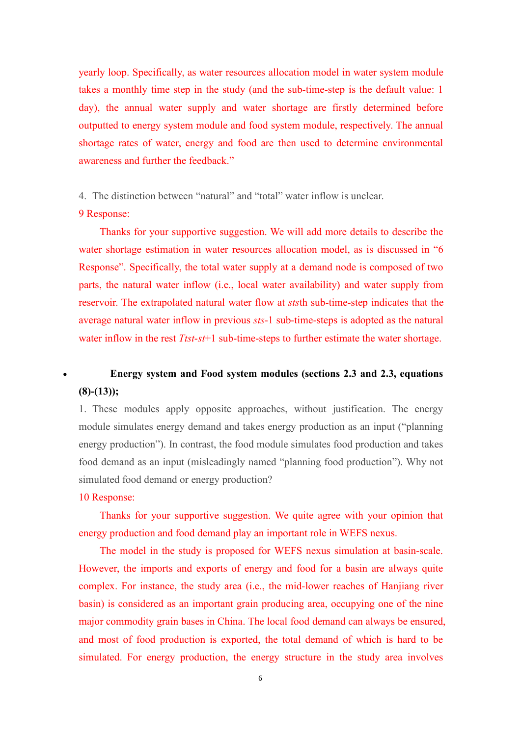yearly loop. Specifically, as water resources allocation model in water system module takes a monthly time step in the study (and the sub-time-step is the default value: 1 day), the annual water supply and water shortage are firstly determined before outputted to energy system module and food system module, respectively. The annual shortage rates of water, energy and food are then used to determine environmental awareness and further the feedback."

4. The distinction between "natural" and "total" water inflow is unclear.

#### 9 Response:

Thanks for your supportive suggestion. We will add more details to describe the water shortage estimation in water resources allocation model, as is discussed in "6 Response". Specifically, the total water supply at a demand node is composed of two parts, the natural water inflow (i.e., local water availability) and water supply from reservoir. The extrapolated natural water flow at *sts*th sub-time-step indicates that the average natural water inflow in previous *sts*-1 sub-time-steps is adopted as the natural water inflow in the rest *Ttst*-*st*+1 sub-time-steps to further estimate the water shortage.

### **Energy system and Food system modules (sections 2.3 and 2.3, equations (8)-(13));**

1. These modules apply opposite approaches, without justification. The energy module simulates energy demand and takes energy production as an input ("planning energy production"). In contrast, the food module simulates food production and takes food demand as an input (misleadingly named "planning food production"). Why not simulated food demand or energy production?

#### 10 Response:

Thanks for your supportive suggestion. We quite agree with your opinion that energy production and food demand play an important role in WEFS nexus.

The model in the study is proposed for WEFS nexus simulation at basin-scale. However, the imports and exports of energy and food for a basin are always quite complex. For instance, the study area (i.e., the mid-lower reaches of Hanjiang river basin) is considered as an important grain producing area, occupying one of the nine major commodity grain bases in China. The local food demand can always be ensured, and most of food production is exported, the total demand of which is hard to be simulated. For energy production, the energy structure in the study area involves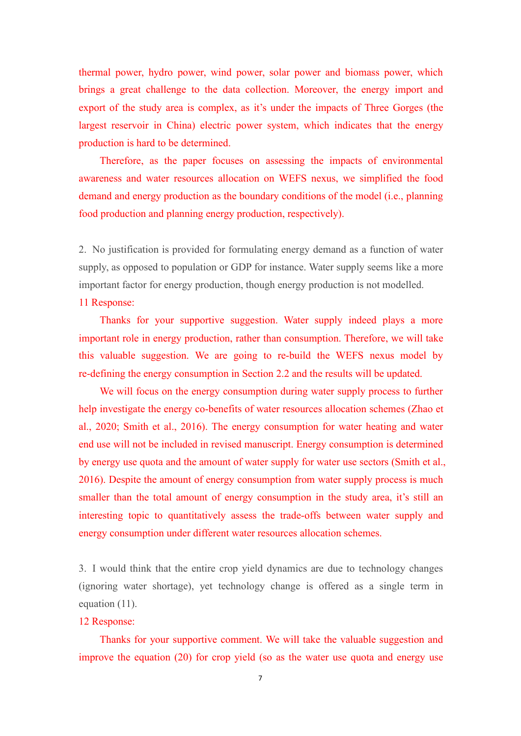thermal power, hydro power, wind power, solar power and biomass power, which brings a great challenge to the data collection. Moreover, the energy import and export of the study area is complex, as it's under the impacts of Three Gorges (the largest reservoir in China) electric power system, which indicates that the energy production is hard to be determined.

Therefore, as the paper focuses on assessing the impacts of environmental awareness and water resources allocation on WEFS nexus, we simplified the food demand and energy production as the boundary conditions of the model (i.e., planning food production and planning energy production, respectively).

2. No justification is provided for formulating energy demand as a function of water supply, as opposed to population or GDP for instance. Water supply seems like a more important factor for energy production, though energy production is not modelled.

#### 11 Response:

Thanks for your supportive suggestion. Water supply indeed plays a more important role in energy production, rather than consumption. Therefore, we will take this valuable suggestion. We are going to re-build the WEFS nexus model by re-defining the energy consumption in Section 2.2 and the results will be updated.We will focus on the energy consumption during water supply process to further

help investigate the energy co-benefits of water resources allocation schemes (Zhao et al., 2020; Smith et al., 2016). The energy consumption for water heating and water end use will not be included in revised manuscript. Energy consumption is determined by energy use quota and the amount of water supply for water use sectors (Smith et al., 2016). Despite the amount of energy consumption from water supply process is much smaller than the total amount of energy consumption in the study area, it's still an interesting topic to quantitatively assess the trade-offs between water supply and energy consumption under different water resources allocation schemes.

3. I would think that the entire crop yield dynamics are due to technology changes (ignoring water shortage), yet technology change is offered as a single term in equation (11).

#### 12 Response:

Thanks for your supportive comment. We will take the valuable suggestion and improve the equation (20) for crop yield (so as the water use quota and energy use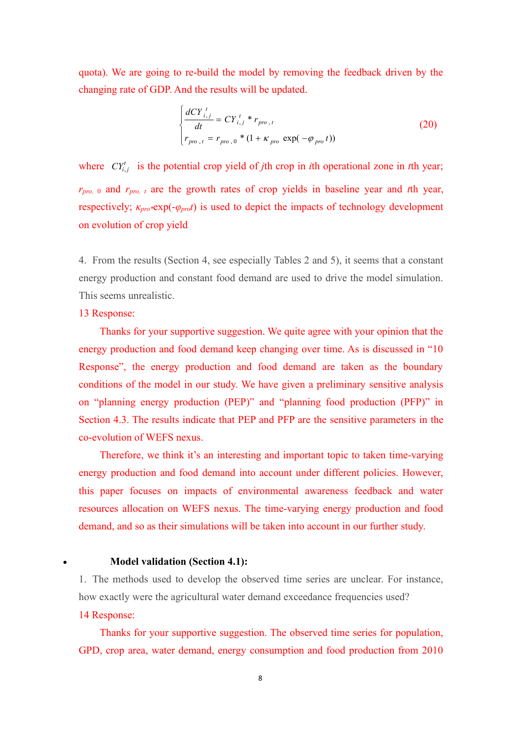quota). We are going to re-build the model by removing the feedback driven by the changing rate of GDP. And the results will be updated.

$$
\begin{cases}\n\frac{dCY_{i,j}^{t}}{dt} = CY_{i,j}^{t} * r_{pro,t} \\
r_{pro,t} = r_{pro,0} * (1 + \kappa_{pro} \exp(-\varphi_{pro} t))\n\end{cases}
$$
\n(20)

where  $CY^t_{i,j}$  is the potential crop yield of *j*th crop in *i*th operational zone in *t*th year; *rpro,* <sup>0</sup> and *rpro, <sup>t</sup>* are the growth rates of crop yields in baseline year and *t*th year, respectively;  $\kappa_{\text{pro}}$ <sup>\*</sup>exp(- $\varphi_{\text{pro}}t$ ) is used to depict the impacts of technology development on evolution of crop yield

4. From the results (Section 4, see especially Tables 2 and 5), it seems that a constant energy production and constant food demand are used to drive the model simulation. This seems unrealistic.

#### 13 Response:

Thanks for your supportive suggestion. We quite agree with your opinion that the energy production and food demand keep changing over time. As is discussed in "10 Response", the energy production and food demand are taken as the boundary conditions of the model in our study. We have given a preliminary sensitive analysis on "planning energy production (PEP)" and "planning food production (PFP)" in Section 4.3. The results indicate that PEP and PFP are the sensitive parameters in the co-evolution of WEFS nexus.

Therefore, we think it's an interesting and important topic to taken time-varying energy production and food demand into account under different policies. However, this paper focuses on impacts of environmental awareness feedback and water resources allocation on WEFS nexus. The time-varying energy production and food demand, and so as their simulations will be taken into account in our further study.

#### **Model validation (Section 4.1):**

1. The methods used to develop the observed time series are unclear. For instance, how exactly were the agricultural water demand exceedance frequencies used?

#### 14 Response:

Thanks for your supportive suggestion. The observed time series for population, GPD, crop area, water demand, energy consumption and food production from 2010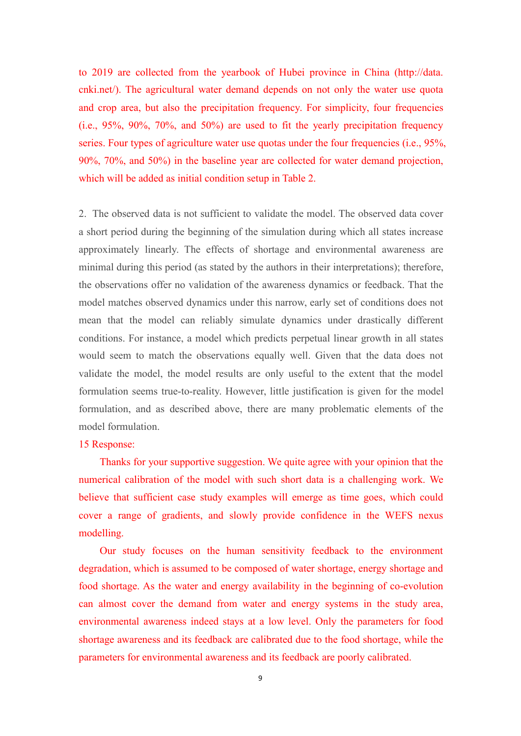to 2019 are collected from the yearbook of Hubei province in China (http://data. cnki.net/). The agricultural water demand depends on not only the water use quota and crop area, but also the precipitation frequency. For simplicity, four frequencies (i.e., 95%, 90%, 70%, and 50%) are used to fit the yearly precipitation frequency series. Four types of agriculture water use quotas under the four frequencies (i.e., 95%, 90%, 70%, and 50%) in the baseline year are collected for water demand projection, which will be added as initial condition setup in Table 2.

2. The observed data is not sufficient to validate the model. The observed data cover a short period during the beginning of the simulation during which all states increase approximately linearly. The effects of shortage and environmental awareness are minimal during this period (as stated by the authors in their interpretations); therefore, the observations offer no validation of the awareness dynamics or feedback. That the model matches observed dynamics under this narrow, early set of conditions does not mean that the model can reliably simulate dynamics under drastically different conditions. For instance, a model which predicts perpetual linear growth in all states would seem to match the observations equally well. Given that the data does not validate the model, the model results are only useful to the extent that the model formulation seems true-to-reality. However, little justification is given for the model formulation, and as described above, there are many problematic elements of the model formulation.

#### 15 Response:

Thanks for your supportive suggestion. We quite agree with your opinion that the numerical calibration of the model with such short data is a challenging work. We believe that sufficient case study examples will emerge as time goes, which could cover a range of gradients, and slowly provide confidence in the WEFS nexus modelling.

Our study focuses on the human sensitivity feedback to the environment degradation, which is assumed to be composed of water shortage, energy shortage and food shortage. As the water and energy availability in the beginning of co-evolution can almost cover the demand from water and energy systems in the study area, environmental awareness indeed stays at a low level. Only the parameters for food shortage awareness and its feedback are calibrated due to the food shortage, while the parameters for environmental awareness and its feedback are poorly calibrated.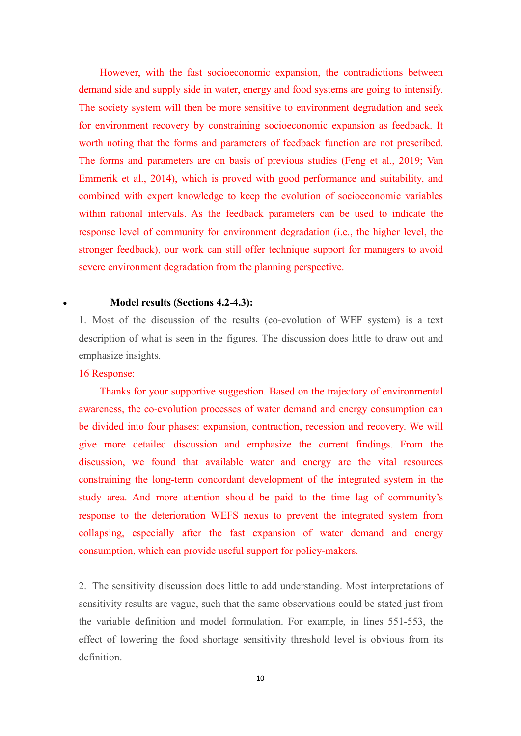However, with the fast socioeconomic expansion, the contradictions between demand side and supply side in water, energy and food systems are going to intensify. The society system will then be more sensitive to environment degradation and seek for environment recovery by constraining socioeconomic expansion as feedback. It worth noting that the forms and parameters of feedback function are not prescribed. The forms and parameters are on basis of previous studies (Feng et al., 2019; Van Emmerik et al., 2014), which is proved with good performance and suitability, and combined with expert knowledge to keep the evolution of socioeconomic variables within rational intervals. As the feedback parameters can be used to indicate the response level of community for environment degradation (i.e., the higher level, the stronger feedback), our work can still offer technique support for managers to avoid severe environment degradation from the planning perspective.

#### **Model results (Sections 4.2-4.3):**

1. Most of the discussion of the results (co-evolution of WEF system) is a text description of what is seen in the figures. The discussion does little to draw out and emphasize insights.

#### 16 Response:

Thanks for your supportive suggestion. Based on the trajectory of environmental awareness, the co-evolution processes of water demand and energy consumption can be divided into four phases: expansion, contraction, recession and recovery. We will give more detailed discussion and emphasize the current findings. From the discussion, we found that available water and energy are the vital resources constraining the long-term concordant development of the integrated system in the study area. And more attention should be paid to the time lag of community's response to the deterioration WEFS nexus to prevent the integrated system from collapsing, especially after the fast expansion of water demand and energy consumption, which can provide useful support for policy-makers.

2. The sensitivity discussion does little to add understanding. Most interpretations of sensitivity results are vague, such that the same observations could be stated just from the variable definition and model formulation. For example, in lines 551-553, the effect of lowering the food shortage sensitivity threshold level is obvious from its definition.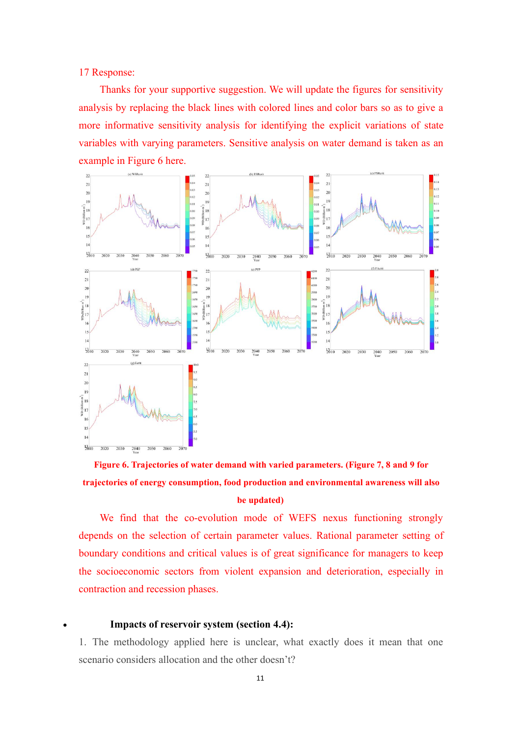17 Response:

Thanks for your supportive suggestion. We will update the figures for sensitivity analysis by replacing the black lines with colored lines and color bars so as to give a more informative sensitivity analysis for identifying the explicit variations of state variables with varying parameters. Sensitive analysis on water demand is taken as an example in Figure 6 here.



## **Figure 6. Trajectories ofwater demand with varied parameters. (Figure 7, 8 and 9 for trajectories ofenergy consumption, food production and environmental awareness will also be updated)**

We find that the co-evolution mode of WEFS nexus functioning strongly depends on the selection of certain parameter values. Rational parameter setting of boundary conditions and critical values is of great significance for managers to keep the socioeconomic sectors from violent expansion and deterioration, especially in contraction and recession phases.

#### **Impacts** of reservoir system (section 4.4):

1. The methodology applied here is unclear, what exactly does it mean that one scenario considers allocation and the other doesn't?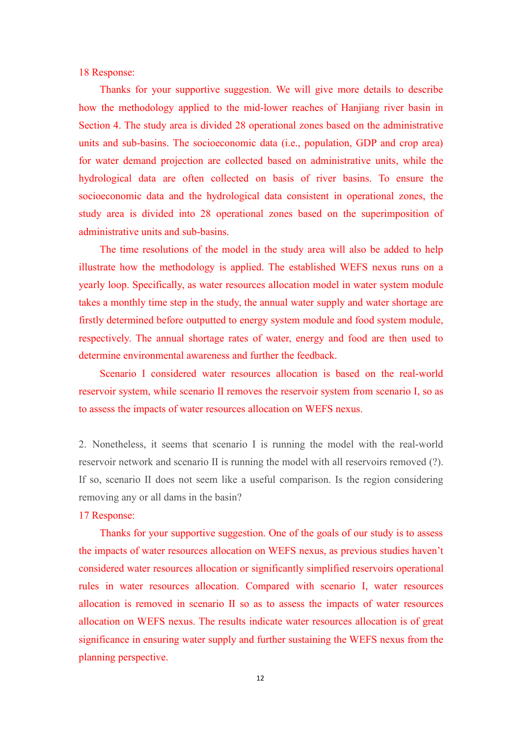18 Response:

Thanks for your supportive suggestion. We will give more details to describe how the methodology applied to the mid-lower reaches of Hanjiang river basin in Section 4. The study area is divided 28 operational zones based on the administrative units and sub-basins. The socioeconomic data (i.e., population, GDP and crop area) for water demand projection are collected based on administrative units, while the hydrological data are often collected on basis of river basins. To ensure the socioeconomic data and the hydrological data consistent in operational zones, the study area is divided into 28 operational zones based on the superimposition of administrative units and sub-basins.<br>The time resolutions of the model in the study area will also be added to help

illustrate how the methodology is applied. The established WEFS nexus runs on a yearly loop. Specifically, as water resources allocation model in water system module takes a monthly time step in the study, the annual water supply and water shortage are firstly determined before outputted to energy system module and food system module, respectively. The annual shortage rates of water, energy and food are then used to determine environmental awareness and further the feedback.

Scenario Ⅰ considered water resources allocation is based on the real-world reservoir system, while scenario Ⅱ removes the reservoir system from scenario Ⅰ, so as to assess the impacts of water resources allocation on WEFS nexus.

2. Nonetheless, it seems that scenario I is running the model with the real-world reservoir network and scenario II is running the model with all reservoirs removed (?). If so, scenario II does not seem like a useful comparison. Is the region considering removing any or all dams in the basin?

#### 17 Response:

Thanks for your supportive suggestion. One of the goals of our study is to assess the impacts of water resources allocation on WEFS nexus, as previous studies haven't considered water resources allocation or significantly simplified reservoirs operational rules in water resources allocation. Compared with scenario I, water resources allocation is removed in scenario II so as to assess the impacts of water resources allocation on WEFS nexus. The results indicate water resources allocation is of great significance in ensuring water supply and further sustaining the WEFS nexus from the planning perspective.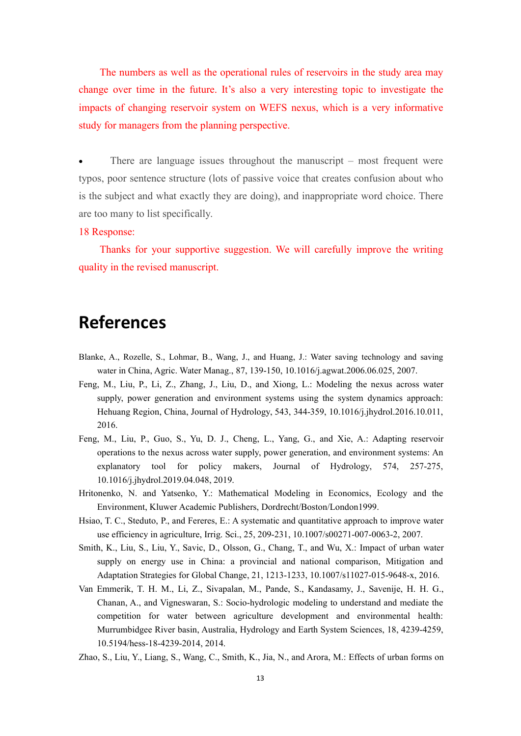The numbers as well as the operational rules of reservoirs in the study area may change over time in the future. It's also a very interesting topic to investigate the impacts of changing reservoir system on WEFS nexus, which is a very informative study for managers from the planning perspective.

 There are language issues throughout the manuscript – most frequent were typos, poor sentence structure (lots of passive voice that creates confusion about who is the subject and what exactly they are doing), and inappropriate word choice. There are too many to list specifically.

#### 18 Response:

Thanks for your supportive suggestion. We will carefully improve the writing quality in the revised manuscript.

# **References**

- Blanke, A., Rozelle, S., Lohmar, B., Wang, J., and Huang, J.: Water saving technology and saving water in China, Agric. Water Manag., 87, 139-150, 10.1016/j.agwat.2006.06.025, 2007.
- Feng, M., Liu, P., Li, Z., Zhang, J., Liu, D., and Xiong, L.: Modeling the nexus across water supply, power generation and environment systems using the system dynamics approach: Hehuang Region, China, Journal of Hydrology, 543, 344-359, 10.1016/j.jhydrol.2016.10.011, 2016.
- Feng, M., Liu, P., Guo, S., Yu, D. J., Cheng, L., Yang, G., and Xie, A.: Adapting reservoir operations to the nexus across water supply, power generation, and environment systems: An explanatory tool for policy makers, Journal of Hydrology, 574, 257-275, 10.1016/j.jhydrol.2019.04.048, 2019.
- Hritonenko, N. and Yatsenko, Y.: Mathematical Modeling in Economics, Ecology and the Environment, Kluwer Academic Publishers, Dordrecht/Boston/London1999.
- Hsiao, T. C., Steduto, P., and Fereres, E.: A systematic and quantitative approach to improve water use efficiency in agriculture, Irrig. Sci., 25, 209-231, 10.1007/s00271-007-0063-2, 2007.
- Smith, K., Liu, S., Liu, Y., Savic, D., Olsson, G., Chang, T., and Wu, X.: Impact of urban water supply on energy use in China: a provincial and national comparison, Mitigation and Adaptation Strategies for Global Change, 21, 1213-1233, 10.1007/s11027-015-9648-x, 2016.
- Van Emmerik, T. H. M., Li, Z., Sivapalan, M., Pande, S., Kandasamy, J., Savenije, H. H. G., Chanan, A., and Vigneswaran, S.: Socio-hydrologic modeling to understand and mediate the competition for water between agriculture development and environmental health: Murrumbidgee River basin, Australia, Hydrology and Earth System Sciences, 18, 4239-4259, 10.5194/hess-18-4239-2014, 2014.
- Zhao, S., Liu, Y., Liang, S., Wang, C., Smith, K., Jia, N., and Arora, M.: Effects of urban forms on